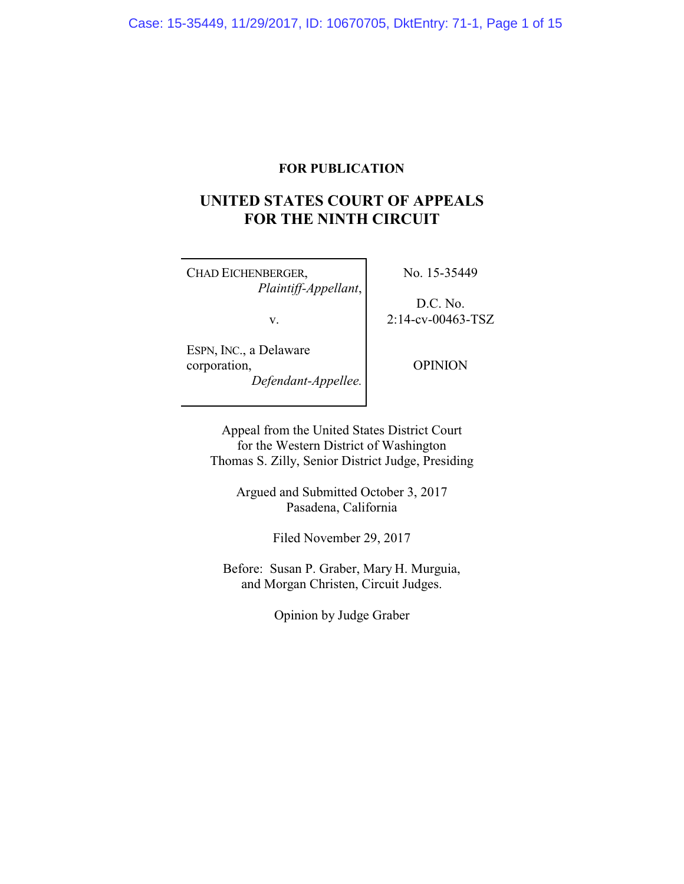# **FOR PUBLICATION**

# **UNITED STATES COURT OF APPEALS FOR THE NINTH CIRCUIT**

CHAD EICHENBERGER, *Plaintiff-Appellant*,

v.

ESPN, INC., a Delaware corporation, *Defendant-Appellee.* No. 15-35449

D.C. No. 2:14-cv-00463-TSZ

OPINION

Appeal from the United States District Court for the Western District of Washington Thomas S. Zilly, Senior District Judge, Presiding

Argued and Submitted October 3, 2017 Pasadena, California

Filed November 29, 2017

Before: Susan P. Graber, Mary H. Murguia, and Morgan Christen, Circuit Judges.

Opinion by Judge Graber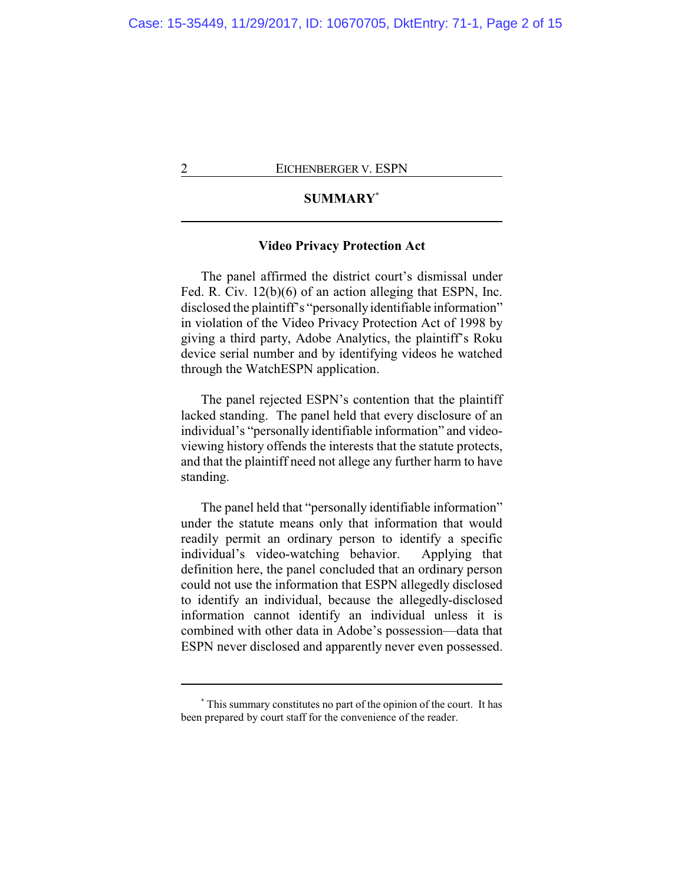# **SUMMARY\***

## **Video Privacy Protection Act**

The panel affirmed the district court's dismissal under Fed. R. Civ. 12(b)(6) of an action alleging that ESPN, Inc. disclosed the plaintiff's "personallyidentifiable information" in violation of the Video Privacy Protection Act of 1998 by giving a third party, Adobe Analytics, the plaintiff's Roku device serial number and by identifying videos he watched through the WatchESPN application.

The panel rejected ESPN's contention that the plaintiff lacked standing. The panel held that every disclosure of an individual's "personally identifiable information" and videoviewing history offends the interests that the statute protects, and that the plaintiff need not allege any further harm to have standing.

The panel held that "personally identifiable information" under the statute means only that information that would readily permit an ordinary person to identify a specific individual's video-watching behavior. Applying that definition here, the panel concluded that an ordinary person could not use the information that ESPN allegedly disclosed to identify an individual, because the allegedly-disclosed information cannot identify an individual unless it is combined with other data in Adobe's possession—data that ESPN never disclosed and apparently never even possessed.

**<sup>\*</sup>** This summary constitutes no part of the opinion of the court. It has been prepared by court staff for the convenience of the reader.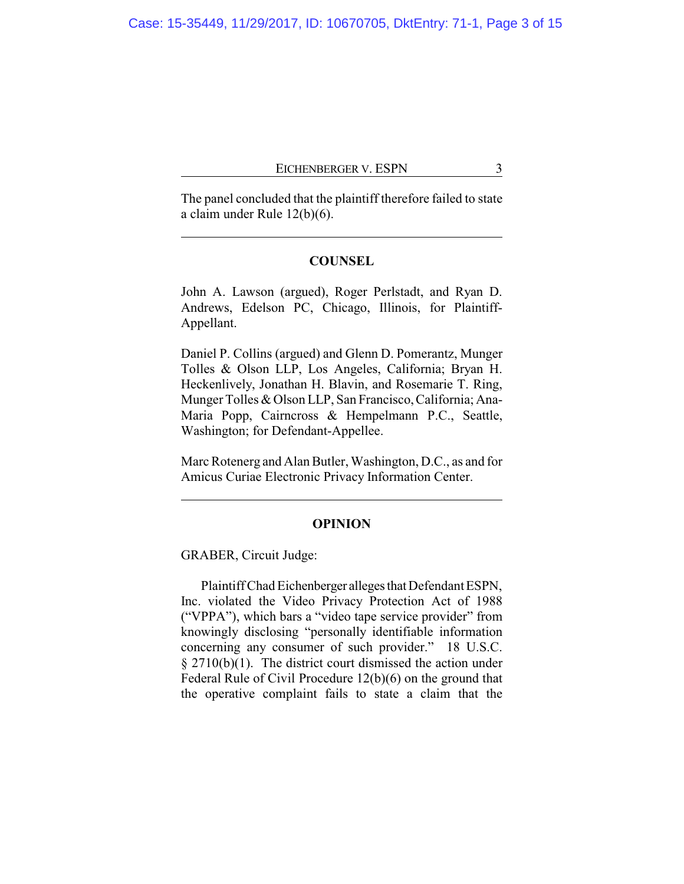The panel concluded that the plaintiff therefore failed to state a claim under Rule 12(b)(6).

## **COUNSEL**

John A. Lawson (argued), Roger Perlstadt, and Ryan D. Andrews, Edelson PC, Chicago, Illinois, for Plaintiff-Appellant.

Daniel P. Collins (argued) and Glenn D. Pomerantz, Munger Tolles & Olson LLP, Los Angeles, California; Bryan H. Heckenlively, Jonathan H. Blavin, and Rosemarie T. Ring, Munger Tolles & Olson LLP, San Francisco, California; Ana-Maria Popp, Cairncross & Hempelmann P.C., Seattle, Washington; for Defendant-Appellee.

Marc Rotenerg and Alan Butler, Washington, D.C., as and for Amicus Curiae Electronic Privacy Information Center.

#### **OPINION**

GRABER, Circuit Judge:

Plaintiff Chad Eichenberger alleges that Defendant ESPN, Inc. violated the Video Privacy Protection Act of 1988 ("VPPA"), which bars a "video tape service provider" from knowingly disclosing "personally identifiable information concerning any consumer of such provider." 18 U.S.C. § 2710(b)(1). The district court dismissed the action under Federal Rule of Civil Procedure 12(b)(6) on the ground that the operative complaint fails to state a claim that the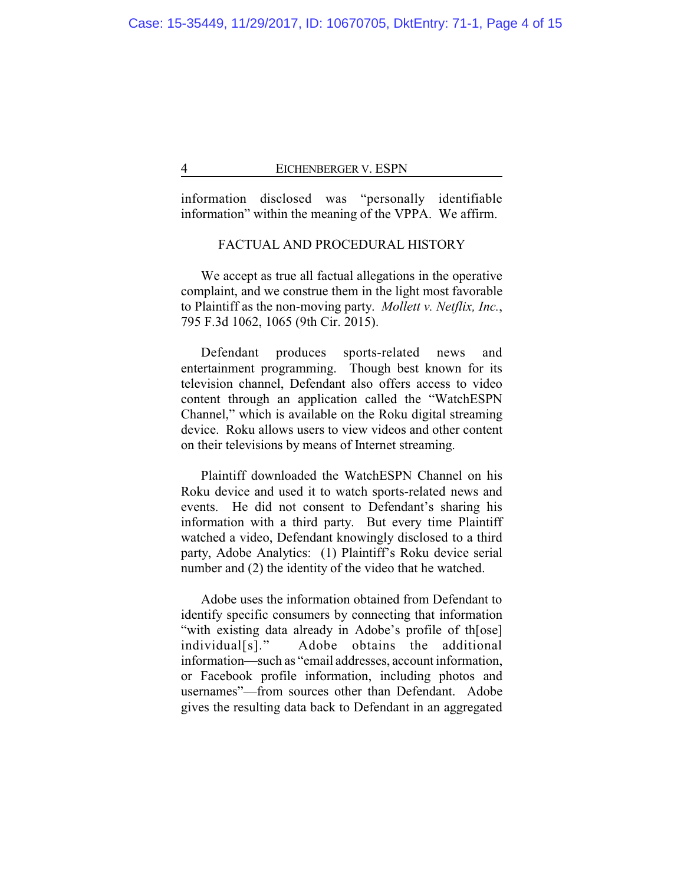information disclosed was "personally identifiable information" within the meaning of the VPPA. We affirm.

# FACTUAL AND PROCEDURAL HISTORY

We accept as true all factual allegations in the operative complaint, and we construe them in the light most favorable to Plaintiff as the non-moving party. *Mollett v. Netflix, Inc.*, 795 F.3d 1062, 1065 (9th Cir. 2015).

Defendant produces sports-related news and entertainment programming. Though best known for its television channel, Defendant also offers access to video content through an application called the "WatchESPN Channel," which is available on the Roku digital streaming device. Roku allows users to view videos and other content on their televisions by means of Internet streaming.

Plaintiff downloaded the WatchESPN Channel on his Roku device and used it to watch sports-related news and events. He did not consent to Defendant's sharing his information with a third party. But every time Plaintiff watched a video, Defendant knowingly disclosed to a third party, Adobe Analytics: (1) Plaintiff's Roku device serial number and (2) the identity of the video that he watched.

Adobe uses the information obtained from Defendant to identify specific consumers by connecting that information "with existing data already in Adobe's profile of th[ose] individual[s]." Adobe obtains the additional information—such as "email addresses, account information, or Facebook profile information, including photos and usernames"—from sources other than Defendant. Adobe gives the resulting data back to Defendant in an aggregated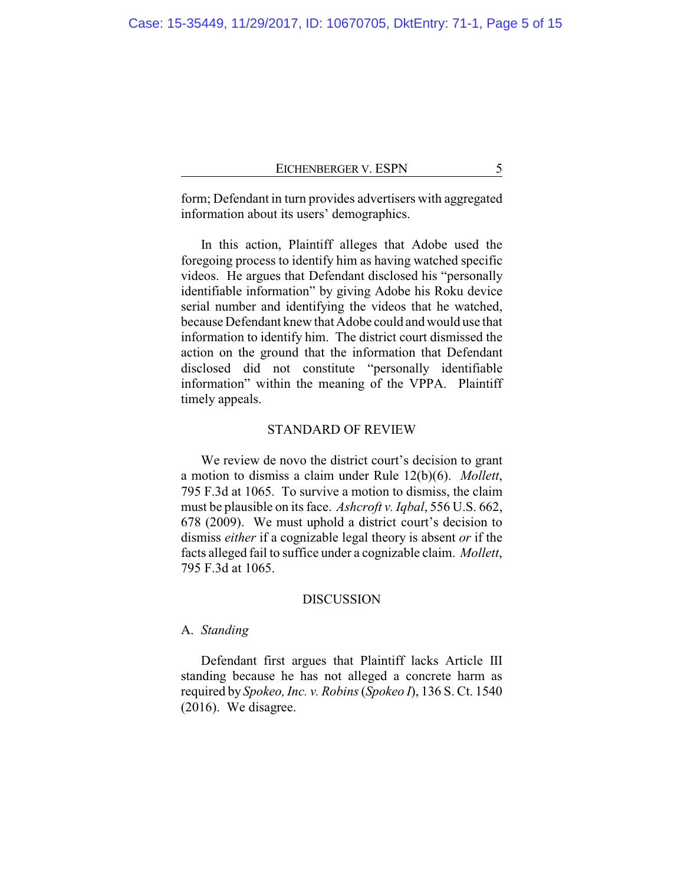form; Defendant in turn provides advertisers with aggregated information about its users' demographics.

In this action, Plaintiff alleges that Adobe used the foregoing process to identify him as having watched specific videos. He argues that Defendant disclosed his "personally identifiable information" by giving Adobe his Roku device serial number and identifying the videos that he watched, because Defendant knew that Adobe could and would use that information to identify him. The district court dismissed the action on the ground that the information that Defendant disclosed did not constitute "personally identifiable information" within the meaning of the VPPA. Plaintiff timely appeals.

#### STANDARD OF REVIEW

We review de novo the district court's decision to grant a motion to dismiss a claim under Rule 12(b)(6). *Mollett*, 795 F.3d at 1065. To survive a motion to dismiss, the claim must be plausible on its face. *Ashcroft v. Iqbal*, 556 U.S. 662, 678 (2009). We must uphold a district court's decision to dismiss *either* if a cognizable legal theory is absent *or* if the facts alleged fail to suffice under a cognizable claim. *Mollett*, 795 F.3d at 1065.

#### DISCUSSION

## A. *Standing*

Defendant first argues that Plaintiff lacks Article III standing because he has not alleged a concrete harm as required by *Spokeo, Inc. v. Robins*(*Spokeo I*), 136 S. Ct. 1540 (2016). We disagree.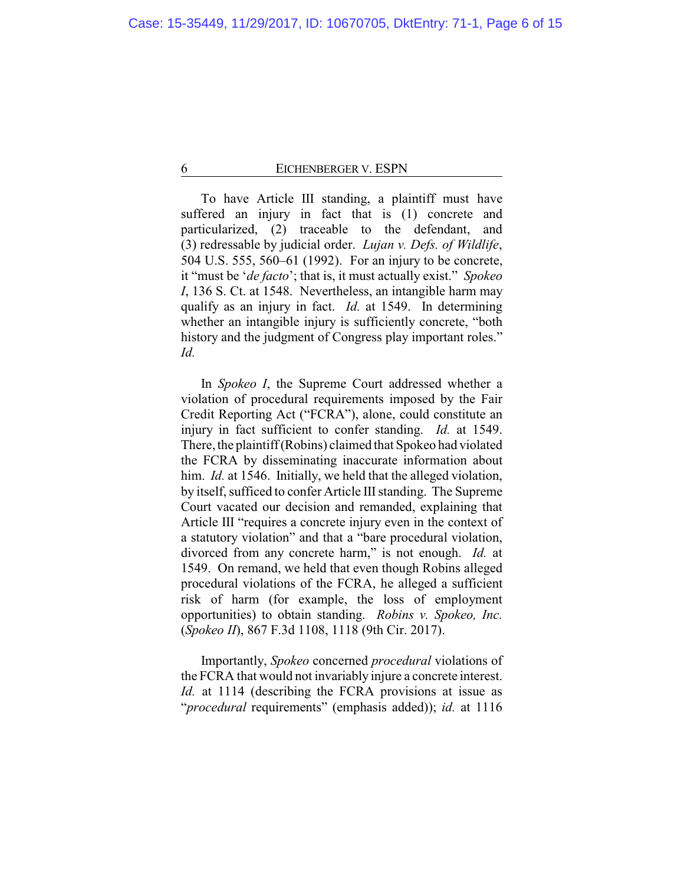To have Article III standing, a plaintiff must have suffered an injury in fact that is (1) concrete and particularized, (2) traceable to the defendant, and (3) redressable by judicial order. *Lujan v. Defs. of Wildlife*, 504 U.S. 555, 560–61 (1992). For an injury to be concrete, it "must be '*de facto*'; that is, it must actually exist." *Spokeo I*, 136 S. Ct. at 1548. Nevertheless, an intangible harm may qualify as an injury in fact. *Id.* at 1549. In determining whether an intangible injury is sufficiently concrete, "both" history and the judgment of Congress play important roles." *Id.*

In *Spokeo I*, the Supreme Court addressed whether a violation of procedural requirements imposed by the Fair Credit Reporting Act ("FCRA"), alone, could constitute an injury in fact sufficient to confer standing. *Id.* at 1549. There, the plaintiff(Robins) claimed that Spokeo had violated the FCRA by disseminating inaccurate information about him. *Id.* at 1546. Initially, we held that the alleged violation, by itself, sufficed to confer Article III standing. The Supreme Court vacated our decision and remanded, explaining that Article III "requires a concrete injury even in the context of a statutory violation" and that a "bare procedural violation, divorced from any concrete harm," is not enough. *Id.* at 1549. On remand, we held that even though Robins alleged procedural violations of the FCRA, he alleged a sufficient risk of harm (for example, the loss of employment opportunities) to obtain standing. *Robins v. Spokeo, Inc.* (*Spokeo II*), 867 F.3d 1108, 1118 (9th Cir. 2017).

Importantly, *Spokeo* concerned *procedural* violations of the FCRA that would not invariably injure a concrete interest. *Id.* at 1114 (describing the FCRA provisions at issue as "*procedural* requirements" (emphasis added)); *id.* at 1116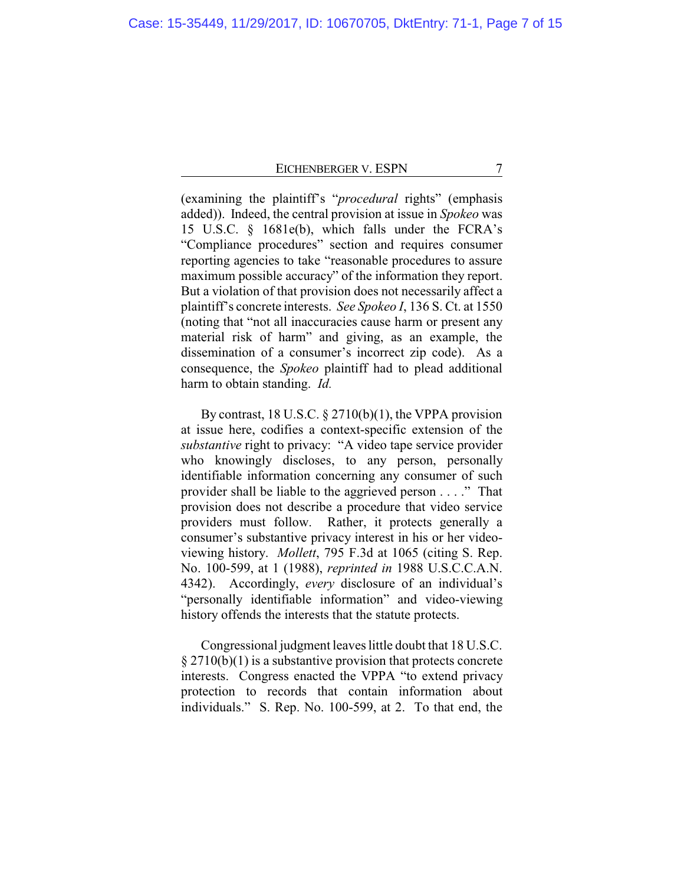(examining the plaintiff's "*procedural* rights" (emphasis added)). Indeed, the central provision at issue in *Spokeo* was 15 U.S.C. § 1681e(b), which falls under the FCRA's "Compliance procedures" section and requires consumer reporting agencies to take "reasonable procedures to assure maximum possible accuracy" of the information they report. But a violation of that provision does not necessarily affect a plaintiff's concrete interests. *See Spokeo I*, 136 S. Ct. at 1550 (noting that "not all inaccuracies cause harm or present any material risk of harm" and giving, as an example, the dissemination of a consumer's incorrect zip code). As a consequence, the *Spokeo* plaintiff had to plead additional harm to obtain standing. *Id.*

By contrast, 18 U.S.C.  $\S 2710(b)(1)$ , the VPPA provision at issue here, codifies a context-specific extension of the *substantive* right to privacy: "A video tape service provider who knowingly discloses, to any person, personally identifiable information concerning any consumer of such provider shall be liable to the aggrieved person . . . ." That provision does not describe a procedure that video service providers must follow. Rather, it protects generally a consumer's substantive privacy interest in his or her videoviewing history. *Mollett*, 795 F.3d at 1065 (citing S. Rep. No. 100-599, at 1 (1988), *reprinted in* 1988 U.S.C.C.A.N. 4342). Accordingly, *every* disclosure of an individual's "personally identifiable information" and video-viewing history offends the interests that the statute protects.

Congressional judgment leaves little doubt that 18 U.S.C.  $\S 2710(b)(1)$  is a substantive provision that protects concrete interests. Congress enacted the VPPA "to extend privacy protection to records that contain information about individuals." S. Rep. No. 100-599, at 2. To that end, the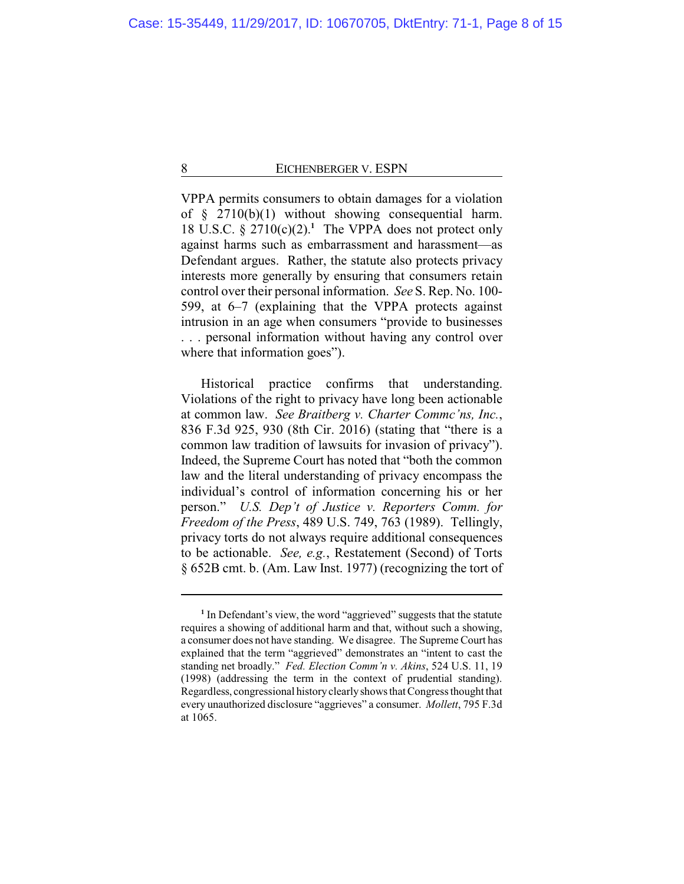VPPA permits consumers to obtain damages for a violation of § 2710(b)(1) without showing consequential harm. 18 U.S.C.  $\S 2710(c)(2)$ <sup>1</sup>. The VPPA does not protect only against harms such as embarrassment and harassment—as Defendant argues. Rather, the statute also protects privacy interests more generally by ensuring that consumers retain control over their personal information. *See* S. Rep. No. 100- 599, at 6–7 (explaining that the VPPA protects against intrusion in an age when consumers "provide to businesses . . . personal information without having any control over where that information goes").

Historical practice confirms that understanding. Violations of the right to privacy have long been actionable at common law. *See Braitberg v. Charter Commc'ns, Inc.*, 836 F.3d 925, 930 (8th Cir. 2016) (stating that "there is a common law tradition of lawsuits for invasion of privacy"). Indeed, the Supreme Court has noted that "both the common law and the literal understanding of privacy encompass the individual's control of information concerning his or her person." *U.S. Dep't of Justice v. Reporters Comm. for Freedom of the Press*, 489 U.S. 749, 763 (1989). Tellingly, privacy torts do not always require additional consequences to be actionable. *See, e.g.*, Restatement (Second) of Torts § 652B cmt. b. (Am. Law Inst. 1977) (recognizing the tort of

<sup>&</sup>lt;sup>1</sup> In Defendant's view, the word "aggrieved" suggests that the statute requires a showing of additional harm and that, without such a showing, a consumer does not have standing. We disagree. The Supreme Court has explained that the term "aggrieved" demonstrates an "intent to cast the standing net broadly." *Fed. Election Comm'n v. Akins*, 524 U.S. 11, 19 (1998) (addressing the term in the context of prudential standing). Regardless, congressional historyclearlyshows that Congress thought that every unauthorized disclosure "aggrieves" a consumer. *Mollett*, 795 F.3d at 1065.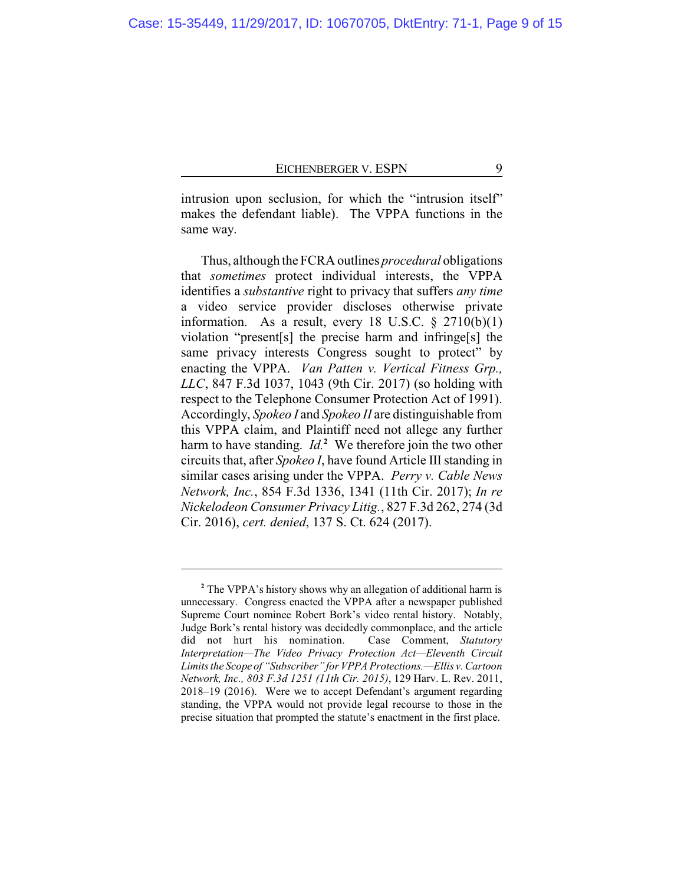intrusion upon seclusion, for which the "intrusion itself" makes the defendant liable). The VPPA functions in the same way.

Thus, although the FCRA outlines *procedural* obligations that *sometimes* protect individual interests, the VPPA identifies a *substantive* right to privacy that suffers *any time* a video service provider discloses otherwise private information. As a result, every 18 U.S.C.  $\S$  2710(b)(1) violation "present[s] the precise harm and infringe[s] the same privacy interests Congress sought to protect" by enacting the VPPA. *Van Patten v. Vertical Fitness Grp., LLC*, 847 F.3d 1037, 1043 (9th Cir. 2017) (so holding with respect to the Telephone Consumer Protection Act of 1991). Accordingly, *Spokeo I* and *Spokeo II* are distinguishable from this VPPA claim, and Plaintiff need not allege any further harm to have standing. *Id.***<sup>2</sup>** We therefore join the two other circuits that, after *Spokeo I*, have found Article III standing in similar cases arising under the VPPA. *Perry v. Cable News Network, Inc.*, 854 F.3d 1336, 1341 (11th Cir. 2017); *In re Nickelodeon Consumer Privacy Litig.*, 827 F.3d 262, 274 (3d Cir. 2016), *cert. denied*, 137 S. Ct. 624 (2017).

**<sup>2</sup>** The VPPA's history shows why an allegation of additional harm is unnecessary. Congress enacted the VPPA after a newspaper published Supreme Court nominee Robert Bork's video rental history. Notably, Judge Bork's rental history was decidedly commonplace, and the article did not hurt his nomination. Case Comment, *Statutory Interpretation—The Video Privacy Protection Act—Eleventh Circuit Limits the Scope of "Subscriber" for VPPA Protections.—Ellis v. Cartoon Network, Inc., 803 F.3d 1251 (11th Cir. 2015)*, 129 Harv. L. Rev. 2011, 2018–19 (2016). Were we to accept Defendant's argument regarding standing, the VPPA would not provide legal recourse to those in the precise situation that prompted the statute's enactment in the first place.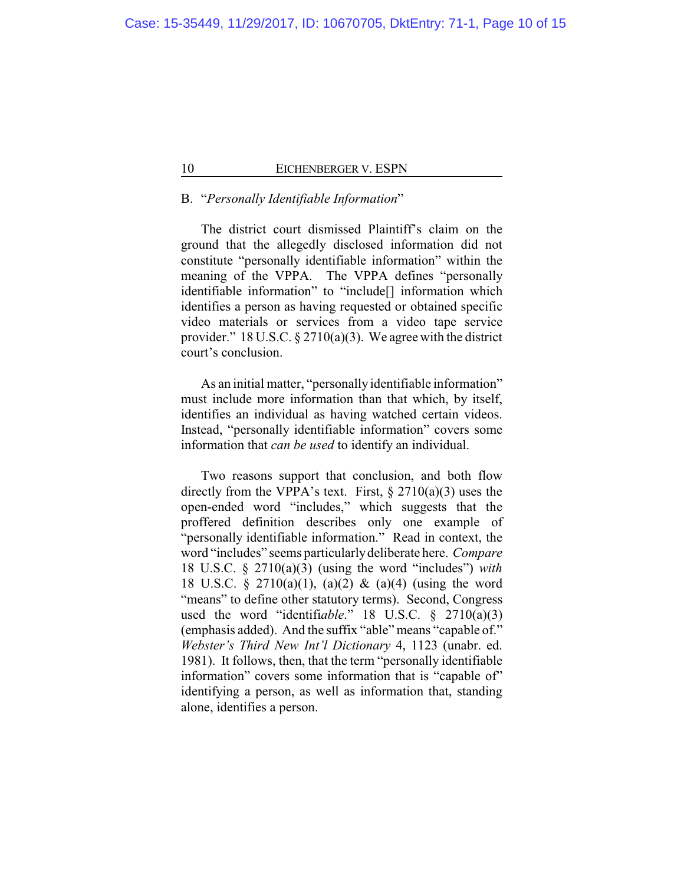# B. "*Personally Identifiable Information*"

The district court dismissed Plaintiff's claim on the ground that the allegedly disclosed information did not constitute "personally identifiable information" within the meaning of the VPPA. The VPPA defines "personally identifiable information" to "include[] information which identifies a person as having requested or obtained specific video materials or services from a video tape service provider." 18 U.S.C. § 2710(a)(3). We agree with the district court's conclusion.

As an initial matter, "personally identifiable information" must include more information than that which, by itself, identifies an individual as having watched certain videos. Instead, "personally identifiable information" covers some information that *can be used* to identify an individual.

Two reasons support that conclusion, and both flow directly from the VPPA's text. First,  $\S 2710(a)(3)$  uses the open-ended word "includes," which suggests that the proffered definition describes only one example of "personally identifiable information." Read in context, the word "includes" seems particularlydeliberate here. *Compare* 18 U.S.C. § 2710(a)(3) (using the word "includes") *with* 18 U.S.C. § 2710(a)(1), (a)(2) & (a)(4) (using the word "means" to define other statutory terms). Second, Congress used the word "identifi*able*." 18 U.S.C. § 2710(a)(3) (emphasis added). And the suffix "able" means "capable of." *Webster's Third New Int'l Dictionary* 4, 1123 (unabr. ed. 1981). It follows, then, that the term "personally identifiable information" covers some information that is "capable of" identifying a person, as well as information that, standing alone, identifies a person.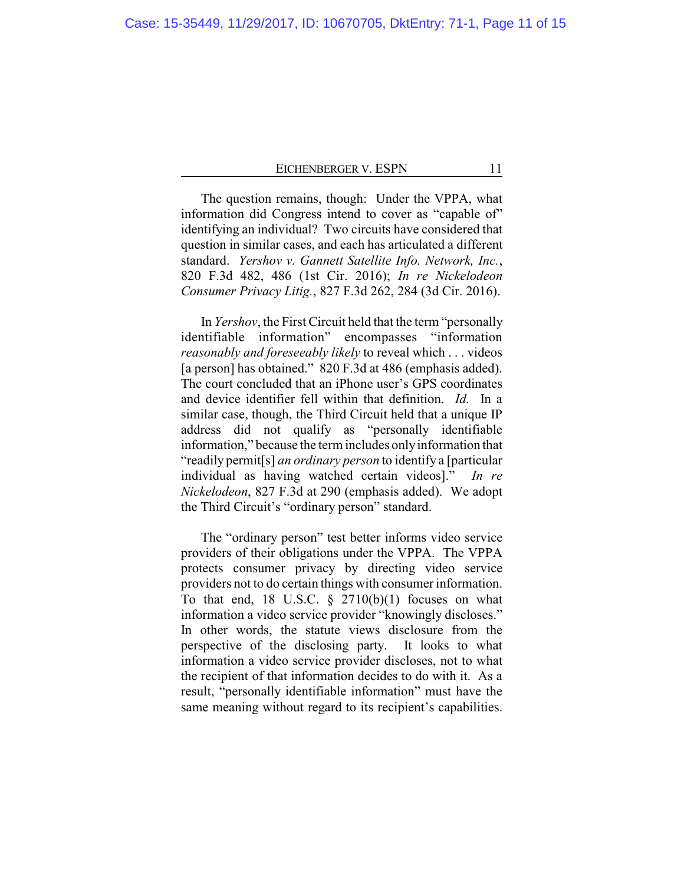The question remains, though: Under the VPPA, what information did Congress intend to cover as "capable of" identifying an individual? Two circuits have considered that question in similar cases, and each has articulated a different standard. *Yershov v. Gannett Satellite Info. Network, Inc.*, 820 F.3d 482, 486 (1st Cir. 2016); *In re Nickelodeon Consumer Privacy Litig.*, 827 F.3d 262, 284 (3d Cir. 2016).

In *Yershov*, the First Circuit held that the term "personally identifiable information" encompasses "information *reasonably and foreseeably likely* to reveal which . . . videos [a person] has obtained." 820 F.3d at 486 (emphasis added). The court concluded that an iPhone user's GPS coordinates and device identifier fell within that definition. *Id.* In a similar case, though, the Third Circuit held that a unique IP address did not qualify as "personally identifiable information," because the term includes onlyinformation that "readily permit[s] *an ordinary person* to identify a [particular individual as having watched certain videos]." *In re Nickelodeon*, 827 F.3d at 290 (emphasis added). We adopt the Third Circuit's "ordinary person" standard.

The "ordinary person" test better informs video service providers of their obligations under the VPPA. The VPPA protects consumer privacy by directing video service providers not to do certain things with consumer information. To that end, 18 U.S.C.  $\S$  2710(b)(1) focuses on what information a video service provider "knowingly discloses." In other words, the statute views disclosure from the perspective of the disclosing party. It looks to what information a video service provider discloses, not to what the recipient of that information decides to do with it. As a result, "personally identifiable information" must have the same meaning without regard to its recipient's capabilities.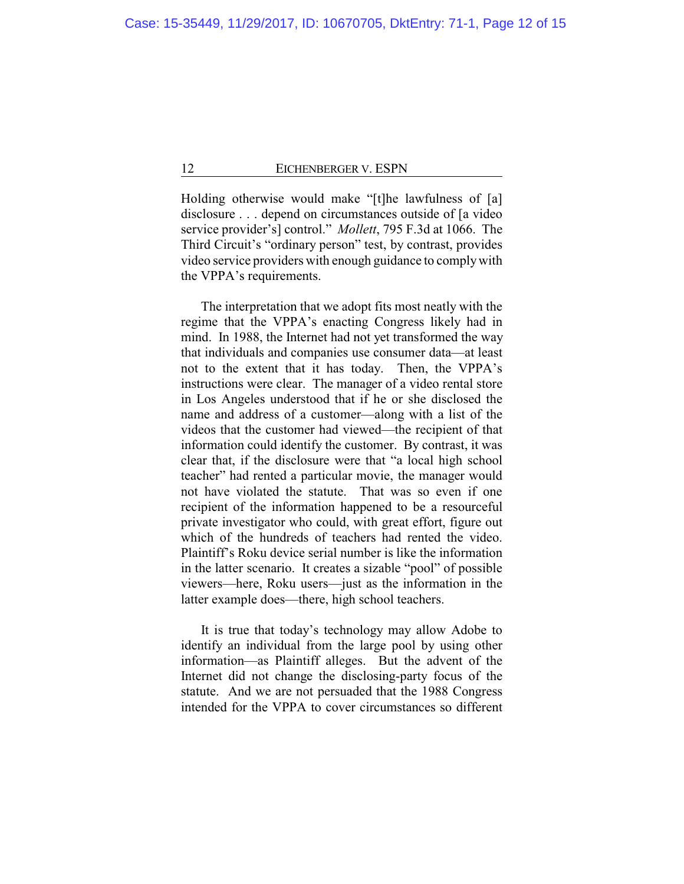Holding otherwise would make "[t]he lawfulness of [a] disclosure . . . depend on circumstances outside of [a video service provider's] control." *Mollett*, 795 F.3d at 1066. The Third Circuit's "ordinary person" test, by contrast, provides video service providers with enough guidance to complywith the VPPA's requirements.

The interpretation that we adopt fits most neatly with the regime that the VPPA's enacting Congress likely had in mind. In 1988, the Internet had not yet transformed the way that individuals and companies use consumer data—at least not to the extent that it has today. Then, the VPPA's instructions were clear. The manager of a video rental store in Los Angeles understood that if he or she disclosed the name and address of a customer—along with a list of the videos that the customer had viewed—the recipient of that information could identify the customer. By contrast, it was clear that, if the disclosure were that "a local high school teacher" had rented a particular movie, the manager would not have violated the statute. That was so even if one recipient of the information happened to be a resourceful private investigator who could, with great effort, figure out which of the hundreds of teachers had rented the video. Plaintiff's Roku device serial number is like the information in the latter scenario. It creates a sizable "pool" of possible viewers—here, Roku users—just as the information in the latter example does—there, high school teachers.

It is true that today's technology may allow Adobe to identify an individual from the large pool by using other information—as Plaintiff alleges. But the advent of the Internet did not change the disclosing-party focus of the statute. And we are not persuaded that the 1988 Congress intended for the VPPA to cover circumstances so different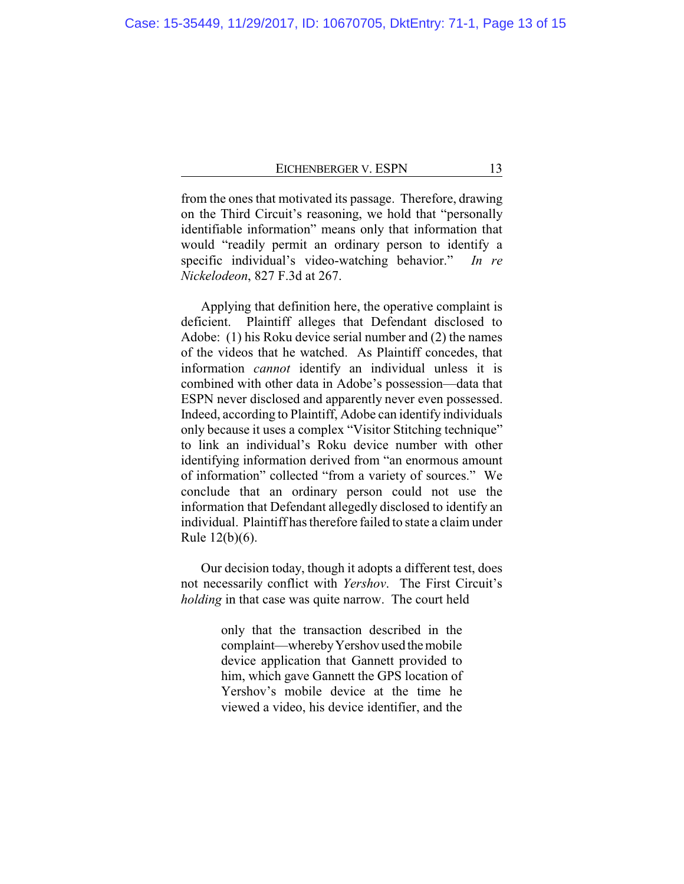from the ones that motivated its passage. Therefore, drawing on the Third Circuit's reasoning, we hold that "personally identifiable information" means only that information that would "readily permit an ordinary person to identify a specific individual's video-watching behavior." *In re Nickelodeon*, 827 F.3d at 267.

Applying that definition here, the operative complaint is deficient. Plaintiff alleges that Defendant disclosed to Adobe: (1) his Roku device serial number and (2) the names of the videos that he watched. As Plaintiff concedes, that information *cannot* identify an individual unless it is combined with other data in Adobe's possession—data that ESPN never disclosed and apparently never even possessed. Indeed, according to Plaintiff, Adobe can identify individuals only because it uses a complex "Visitor Stitching technique" to link an individual's Roku device number with other identifying information derived from "an enormous amount of information" collected "from a variety of sources." We conclude that an ordinary person could not use the information that Defendant allegedly disclosed to identify an individual. Plaintiff has therefore failed to state a claim under Rule 12(b)(6).

Our decision today, though it adopts a different test, does not necessarily conflict with *Yershov*. The First Circuit's *holding* in that case was quite narrow. The court held

> only that the transaction described in the complaint—wherebyYershov used themobile device application that Gannett provided to him, which gave Gannett the GPS location of Yershov's mobile device at the time he viewed a video, his device identifier, and the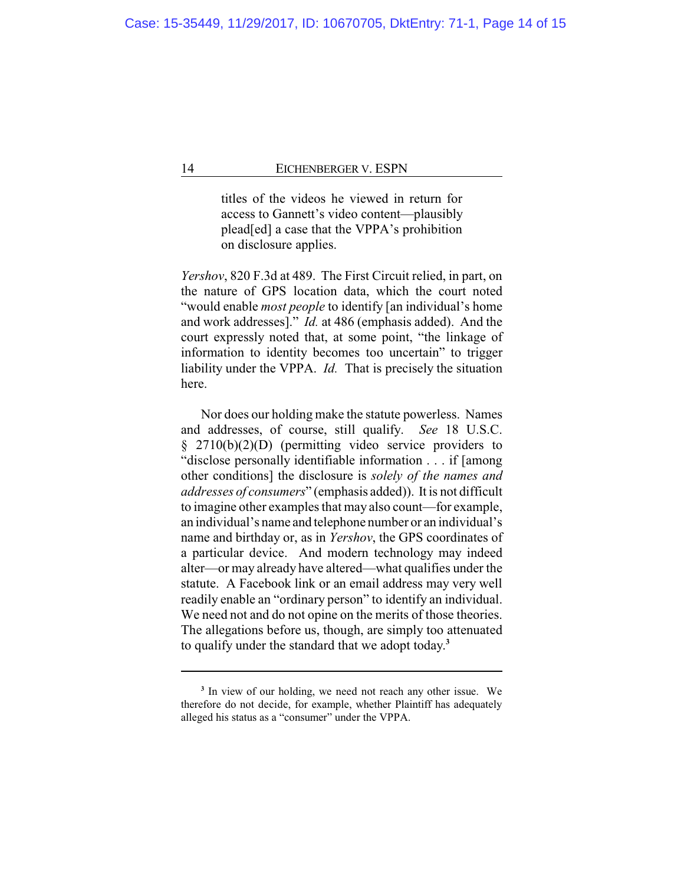titles of the videos he viewed in return for access to Gannett's video content—plausibly plead[ed] a case that the VPPA's prohibition on disclosure applies.

*Yershov*, 820 F.3d at 489. The First Circuit relied, in part, on the nature of GPS location data, which the court noted "would enable *most people* to identify [an individual's home and work addresses]." *Id.* at 486 (emphasis added). And the court expressly noted that, at some point, "the linkage of information to identity becomes too uncertain" to trigger liability under the VPPA. *Id.* That is precisely the situation here.

Nor does our holding make the statute powerless. Names and addresses, of course, still qualify. *See* 18 U.S.C. § 2710(b)(2)(D) (permitting video service providers to "disclose personally identifiable information . . . if [among other conditions] the disclosure is *solely of the names and addresses of consumers*" (emphasis added)). It is not difficult to imagine other examples that may also count—for example, an individual's name and telephone number or an individual's name and birthday or, as in *Yershov*, the GPS coordinates of a particular device. And modern technology may indeed alter—or may already have altered—what qualifies under the statute. A Facebook link or an email address may very well readily enable an "ordinary person" to identify an individual. We need not and do not opine on the merits of those theories. The allegations before us, though, are simply too attenuated to qualify under the standard that we adopt today. **3**

**<sup>3</sup>** In view of our holding, we need not reach any other issue. We therefore do not decide, for example, whether Plaintiff has adequately alleged his status as a "consumer" under the VPPA.